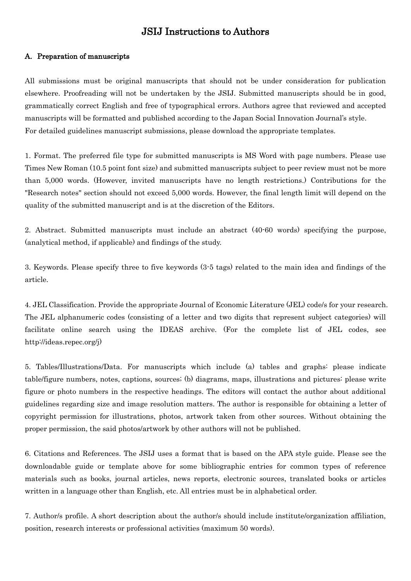# JSIJ Instructions to Authors

#### A. Preparation of manuscripts

All submissions must be original manuscripts that should not be under consideration for publication elsewhere. Proofreading will not be undertaken by the JSIJ. Submitted manuscripts should be in good, grammatically correct English and free of typographical errors. Authors agree that reviewed and accepted manuscripts will be formatted and published according to the Japan Social Innovation Journal's style. For detailed guidelines manuscript submissions, please download the appropriate templates.

1. Format. The preferred file type for submitted manuscripts is MS Word with page numbers. Please use Times New Roman (10.5 point font size) and submitted manuscripts subject to peer review must not be more than 5,000 words. (However, invited manuscripts have no length restrictions.) Contributions for the "Research notes" section should not exceed 5,000 words. However, the final length limit will depend on the quality of the submitted manuscript and is at the discretion of the Editors.

2. Abstract. Submitted manuscripts must include an abstract (40-60 words) specifying the purpose, (analytical method, if applicable) and findings of the study.

3. Keywords. Please specify three to five keywords (3-5 tags) related to the main idea and findings of the article.

4. JEL Classification. Provide the appropriate Journal of Economic Literature (JEL) code/s for your research. The JEL alphanumeric codes (consisting of a letter and two digits that represent subject categories) will facilitate online search using the IDEAS archive. (For the complete list of JEL codes, see http://ideas.repec.org/j)

5. Tables/Illustrations/Data. For manuscripts which include (a) tables and graphs: please indicate table/figure numbers, notes, captions, sources; (b) diagrams, maps, illustrations and pictures: please write figure or photo numbers in the respective headings. The editors will contact the author about additional guidelines regarding size and image resolution matters. The author is responsible for obtaining a letter of copyright permission for illustrations, photos, artwork taken from other sources. Without obtaining the proper permission, the said photos/artwork by other authors will not be published.

6. Citations and References. The JSIJ uses a format that is based on the APA style guide. Please see the downloadable guide or template above for some bibliographic entries for common types of reference materials such as books, journal articles, news reports, electronic sources, translated books or articles written in a language other than English, etc. All entries must be in alphabetical order.

7. Author/s profile. A short description about the author/s should include institute/organization affiliation, position, research interests or professional activities (maximum 50 words).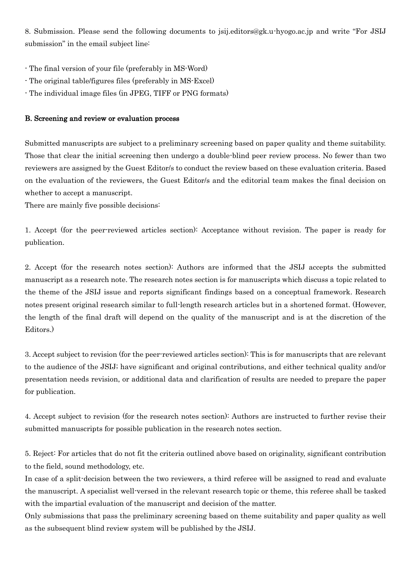8. Submission. Please send the following documents to jsij.editors@gk.u-hyogo.ac.jp and write "For JSIJ submission" in the email subject line:

- The final version of your file (preferably in MS-Word)
- The original table/figures files (preferably in MS-Excel)
- The individual image files (in JPEG, TIFF or PNG formats)

#### B. Screening and review or evaluation process

Submitted manuscripts are subject to a preliminary screening based on paper quality and theme suitability. Those that clear the initial screening then undergo a double-blind peer review process. No fewer than two reviewers are assigned by the Guest Editor/s to conduct the review based on these evaluation criteria. Based on the evaluation of the reviewers, the Guest Editor/s and the editorial team makes the final decision on whether to accept a manuscript.

There are mainly five possible decisions:

1. Accept (for the peer-reviewed articles section): Acceptance without revision. The paper is ready for publication.

2. Accept (for the research notes section): Authors are informed that the JSIJ accepts the submitted manuscript as a research note. The research notes section is for manuscripts which discuss a topic related to the theme of the JSIJ issue and reports significant findings based on a conceptual framework. Research notes present original research similar to full-length research articles but in a shortened format. (However, the length of the final draft will depend on the quality of the manuscript and is at the discretion of the Editors.)

3. Accept subject to revision (for the peer-reviewed articles section): This is for manuscripts that are relevant to the audience of the JSIJ; have significant and original contributions, and either technical quality and/or presentation needs revision, or additional data and clarification of results are needed to prepare the paper for publication.

4. Accept subject to revision (for the research notes section): Authors are instructed to further revise their submitted manuscripts for possible publication in the research notes section.

5. Reject: For articles that do not fit the criteria outlined above based on originality, significant contribution to the field, sound methodology, etc.

In case of a split-decision between the two reviewers, a third referee will be assigned to read and evaluate the manuscript. A specialist well-versed in the relevant research topic or theme, this referee shall be tasked with the impartial evaluation of the manuscript and decision of the matter.

Only submissions that pass the preliminary screening based on theme suitability and paper quality as well as the subsequent blind review system will be published by the JSIJ.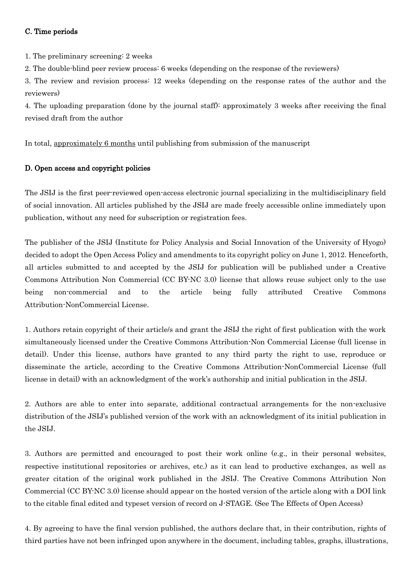# C. Time periods

1. The preliminary screening: 2 weeks

2. The double-blind peer review process: 6 weeks (depending on the response of the reviewers)

3. The review and revision process: 12 weeks (depending on the response rates of the author and the reviewers)

4. The uploading preparation (done by the journal staff): approximately 3 weeks after receiving the final revised draft from the author

In total, approximately 6 months until publishing from submission of the manuscript

## D. Open access and copyright policies

The JSIJ is the first peer-reviewed open-access electronic journal specializing in the multidisciplinary field of social innovation. All articles published by the JSIJ are made freely accessible online immediately upon publication, without any need for subscription or registration fees.

The publisher of the JSIJ (Institute for Policy Analysis and Social Innovation of the University of Hyogo) decided to adopt the Open Access Policy and amendments to its copyright policy on June 1, 2012. Henceforth, all articles submitted to and accepted by the JSIJ for publication will be published under a Creative Commons Attribution Non Commercial (CC BY-NC 3.0) license that allows reuse subject only to the use being non-commercial and to the article being fully attributed Creative Commons Attribution-NonCommercial License.

1. Authors retain copyright of their article/s and grant the JSIJ the right of first publication with the work simultaneously licensed under the Creative Commons Attribution-Non Commercial License (full license in detail). Under this license, authors have granted to any third party the right to use, reproduce or disseminate the article, according to the Creative Commons Attribution-NonCommercial License (full license in detail) with an acknowledgment of the work's authorship and initial publication in the JSIJ.

2. Authors are able to enter into separate, additional contractual arrangements for the non-exclusive distribution of the JSIJ's published version of the work with an acknowledgment of its initial publication in the JSIJ.

3. Authors are permitted and encouraged to post their work online (e.g., in their personal websites, respective institutional repositories or archives, etc.) as it can lead to productive exchanges, as well as greater citation of the original work published in the JSIJ. The Creative Commons Attribution Non Commercial (CC BY-NC 3.0) license should appear on the hosted version of the article along with a DOI link to the citable final edited and typeset version of record on J-STAGE. (See The Effects of Open Access)

4. By agreeing to have the final version published, the authors declare that, in their contribution, rights of third parties have not been infringed upon anywhere in the document, including tables, graphs, illustrations,